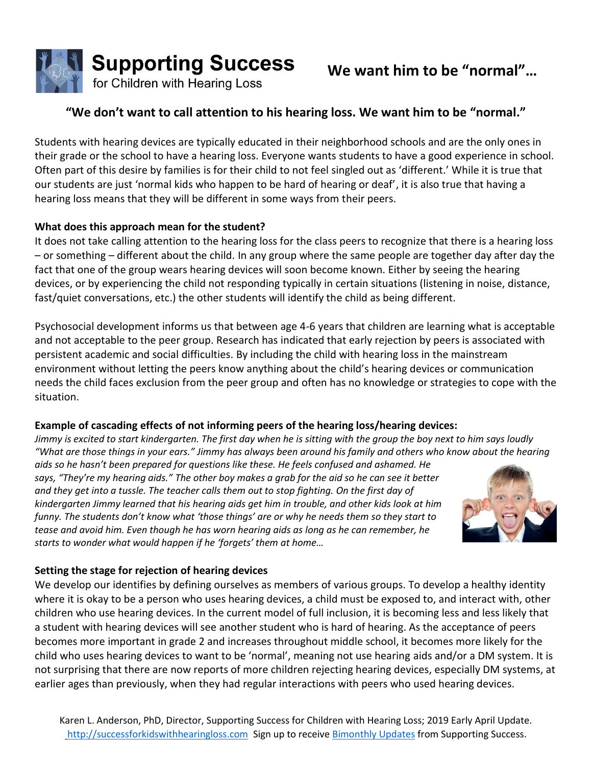

## **"We don't want to call attention to his hearing loss. We want him to be "normal."**

Students with hearing devices are typically educated in their neighborhood schools and are the only ones in their grade or the school to have a hearing loss. Everyone wants students to have a good experience in school. Often part of this desire by families is for their child to not feel singled out as 'different.' While it is true that our students are just 'normal kids who happen to be hard of hearing or deaf', it is also true that having a hearing loss means that they will be different in some ways from their peers.

## **What does this approach mean for the student?**

It does not take calling attention to the hearing loss for the class peers to recognize that there is a hearing loss – or something – different about the child. In any group where the same people are together day after day the fact that one of the group wears hearing devices will soon become known. Either by seeing the hearing devices, or by experiencing the child not responding typically in certain situations (listening in noise, distance, fast/quiet conversations, etc.) the other students will identify the child as being different.

Psychosocial development informs us that between age 4-6 years that children are learning what is acceptable and not acceptable to the peer group. Research has indicated that early rejection by peers is associated with persistent academic and social difficulties. By including the child with hearing loss in the mainstream environment without letting the peers know anything about the child's hearing devices or communication needs the child faces exclusion from the peer group and often has no knowledge or strategies to cope with the situation.

## **Example of cascading effects of not informing peers of the hearing loss/hearing devices:**

*Jimmy is excited to start kindergarten. The first day when he is sitting with the group the boy next to him says loudly "What are those things in your ears." Jimmy has always been around his family and others who know about the hearing* 

*aids so he hasn't been prepared for questions like these. He feels confused and ashamed. He says, "They're my hearing aids." The other boy makes a grab for the aid so he can see it better and they get into a tussle. The teacher calls them out to stop fighting. On the first day of kindergarten Jimmy learned that his hearing aids get him in trouble, and other kids look at him funny. The students don't know what 'those things' are or why he needs them so they start to tease and avoid him. Even though he has worn hearing aids as long as he can remember, he starts to wonder what would happen if he 'forgets' them at home…*



## **Setting the stage for rejection of hearing devices**

We develop our identifies by defining ourselves as members of various groups. To develop a healthy identity where it is okay to be a person who uses hearing devices, a child must be exposed to, and interact with, other children who use hearing devices. In the current model of full inclusion, it is becoming less and less likely that a student with hearing devices will see another student who is hard of hearing. As the acceptance of peers becomes more important in grade 2 and increases throughout middle school, it becomes more likely for the child who uses hearing devices to want to be 'normal', meaning not use hearing aids and/or a DM system. It is not surprising that there are now reports of more children rejecting hearing devices, especially DM systems, at earlier ages than previously, when they had regular interactions with peers who used hearing devices.